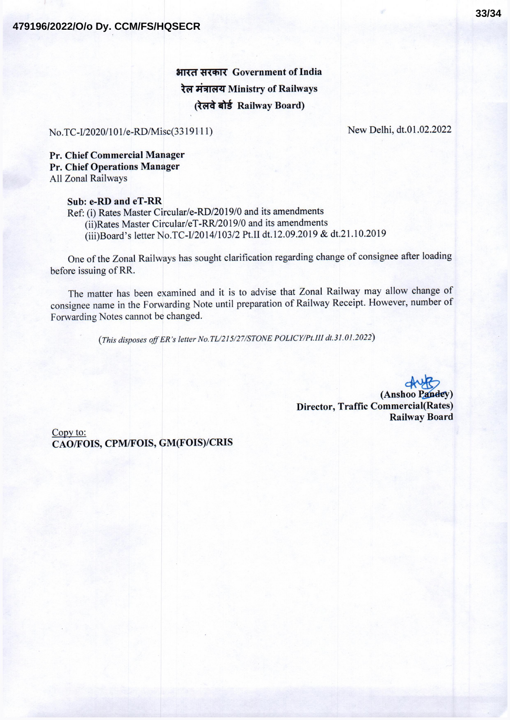**3 अारत सरकार Government of India** रेल मंत्रालय Ministry of Railways **(रेलवे बोर्ड Railway Board)** 

No.TC-V2020/101/e-RD/Misc(3319111) New Delhi, dt.01.02.2022

**Pr. Chief Commercial Manager Pr. Chief Operations Manager**  All Zonal Railways

## **Sub: e-RD and eT-RR**

Ref: (i) Rates Master Circular/e-RD/2019/0 and its amendments (ii)Rates Master Circular/eT-RR/2019/0 and its amendments (iii)Board's letter No.TC-V2014/103/2 Pt.II dt.12.09.2019 & dt.21.10.2019

One of the Zonal Railways has sought clarification regarding change of consignee after loading before issuing of RR.

The matter has been examined and it is to advise that Zonal Railway may allow change of consignee name in the Forwarding Note until preparation of Railway Receipt. However, number of Forwarding Notes cannot be changed.

*(This disposes off ER's letter No. TL/215/27/STONE POLJCY!Pt.fll dt.31.01.2022)* 

Pt.III dt.31.01.2022)<br> **(Anshoo Pandey)**<br> **Director, Traffic Commercial(Rates)**<br> **Director, Traffic Commercial(Rates) Railway Board** 

Copy to: **CAO/FOIS, CPM/FOIS, GM(FOIS)/CRIS**